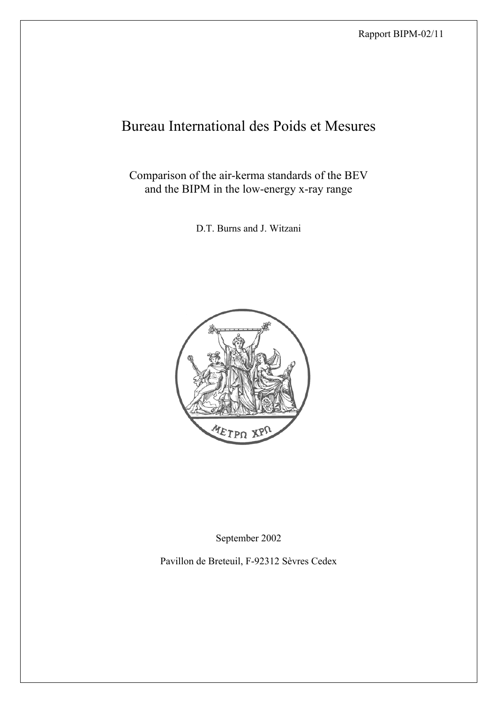# Bureau International des Poids et Mesures

Comparison of the air-kerma standards of the BEV and the BIPM in the low-energy x-ray range

D.T. Burns and J. Witzani



September 2002

Pavillon de Breteuil, F-92312 Sèvres Cedex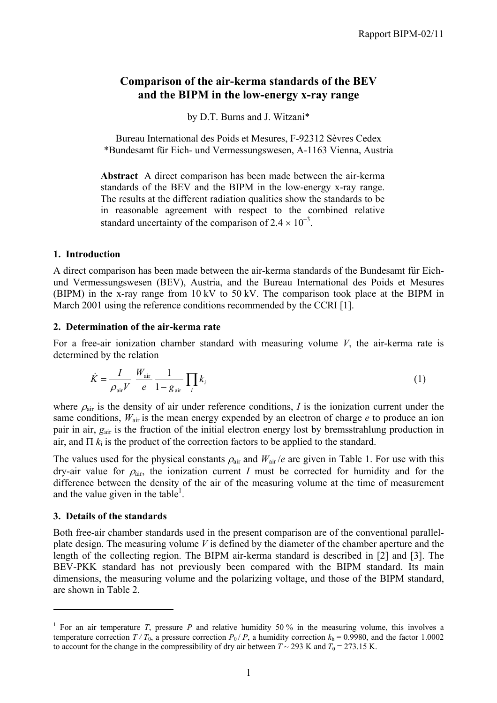# **Comparison of the air-kerma standards of the BEV and the BIPM in the low-energy x-ray range**

by D.T. Burns and J. Witzani\*

Bureau International des Poids et Mesures, F-92312 Sèvres Cedex \*Bundesamt für Eich- und Vermessungswesen, A-1163 Vienna, Austria

**Abstract** A direct comparison has been made between the air-kerma standards of the BEV and the BIPM in the low-energy x-ray range. The results at the different radiation qualities show the standards to be in reasonable agreement with respect to the combined relative standard uncertainty of the comparison of  $2.4 \times 10^{-3}$ .

#### **1. Introduction**

A direct comparison has been made between the air-kerma standards of the Bundesamt für Eichund Vermessungswesen (BEV), Austria, and the Bureau International des Poids et Mesures (BIPM) in the x-ray range from 10 kV to 50 kV. The comparison took place at the BIPM in March 2001 using the reference conditions recommended by the CCRI [1].

#### **2. Determination of the air-kerma rate**

For a free-air ionization chamber standard with measuring volume *V*, the air-kerma rate is determined by the relation

$$
\dot{K} = \frac{I}{\rho_{\text{air}} V} \frac{W_{\text{air}}}{e} \frac{1}{1 - g_{\text{air}}} \prod_{i} k_{i}
$$
 (1)

where  $\rho_{\text{air}}$  is the density of air under reference conditions, *I* is the ionization current under the same conditions,  $W_{air}$  is the mean energy expended by an electron of charge  $e$  to produce an ion pair in air, *g*air is the fraction of the initial electron energy lost by bremsstrahlung production in air, and  $\Pi$   $k_i$  is the product of the correction factors to be applied to the standard.

The values used for the physical constants  $\rho_{air}$  and  $W_{air}/e$  are given in Table 1. For use with this dry-air value for  $\rho_{air}$ , the ionization current *I* must be corrected for humidity and for the difference between the density of the air of the measuring volume at the time of measurement and the value given in the table<sup>1</sup>.

## **3. Details of the standards**

 $\overline{a}$ 

Both free-air chamber standards used in the present comparison are of the conventional parallelplate design. The measuring volume *V* is defined by the diameter of the chamber aperture and the length of the collecting region. The BIPM air-kerma standard is described in [2] and [3]. The BEV-PKK standard has not previously been compared with the BIPM standard. Its main dimensions, the measuring volume and the polarizing voltage, and those of the BIPM standard, are shown in Table 2.

<sup>&</sup>lt;sup>1</sup> For an air temperature *T*, pressure *P* and relative humidity 50 % in the measuring volume, this involves a temperature correction  $T/T_0$ , a pressure correction  $P_0/P$ , a humidity correction  $k_h = 0.9980$ , and the factor 1.0002 to account for the change in the compressibility of dry air between  $T \sim 293$  K and  $T_0 = 273.15$  K.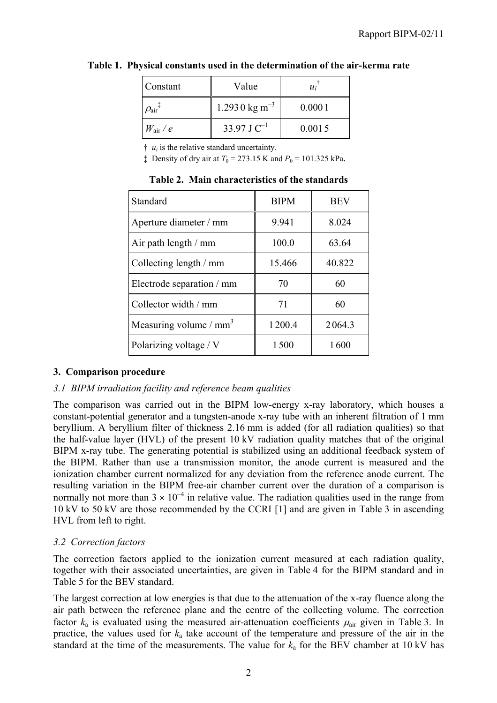| Constant                         | Value                     | $u_i$ ' |
|----------------------------------|---------------------------|---------|
| $\rho_{\text{air}}$ <sup>+</sup> | 1.2930 kg m <sup>-3</sup> | 0.0001  |
| $W_{\rm air}/e$                  | 33.97 J $C^{-1}$          | 0.0015  |

# **Table 1. Physical constants used in the determination of the air-kerma rate**

 $\ddot{\tau}$  *u<sub>i</sub>* is the relative standard uncertainty.

 $\ddagger$  Density of dry air at  $T_0 = 273.15$  K and  $P_0 = 101.325$  kPa.

| Standard                  | <b>BIPM</b> | <b>BEV</b> |
|---------------------------|-------------|------------|
| Aperture diameter / mm    | 9.941       | 8.024      |
| Air path length / mm      | 100.0       | 63.64      |
| Collecting length / mm    | 15.466      | 40.822     |
| Electrode separation / mm | 70          | 60         |
| Collector width / mm      | 71          | 60         |
| Measuring volume / $mm3$  | 1200.4      | 2064.3     |
| Polarizing voltage / V    | 1500        | 1600       |

**Table 2. Main characteristics of the standards**

# **3. Comparison procedure**

## *3.1 BIPM irradiation facility and reference beam qualities*

The comparison was carried out in the BIPM low-energy x-ray laboratory, which houses a constant-potential generator and a tungsten-anode x-ray tube with an inherent filtration of 1 mm beryllium. A beryllium filter of thickness 2.16 mm is added (for all radiation qualities) so that the half-value layer (HVL) of the present 10 kV radiation quality matches that of the original BIPM x-ray tube. The generating potential is stabilized using an additional feedback system of the BIPM. Rather than use a transmission monitor, the anode current is measured and the ionization chamber current normalized for any deviation from the reference anode current. The resulting variation in the BIPM free-air chamber current over the duration of a comparison is normally not more than  $3 \times 10^{-4}$  in relative value. The radiation qualities used in the range from 10 kV to 50 kV are those recommended by the CCRI [1] and are given in Table 3 in ascending HVL from left to right.

# *3.2 Correction factors*

The correction factors applied to the ionization current measured at each radiation quality, together with their associated uncertainties, are given in Table 4 for the BIPM standard and in Table 5 for the BEV standard.

The largest correction at low energies is that due to the attenuation of the x-ray fluence along the air path between the reference plane and the centre of the collecting volume. The correction factor  $k_a$  is evaluated using the measured air-attenuation coefficients  $\mu_{air}$  given in Table 3. In practice, the values used for *k*a take account of the temperature and pressure of the air in the standard at the time of the measurements. The value for  $k_a$  for the BEV chamber at 10 kV has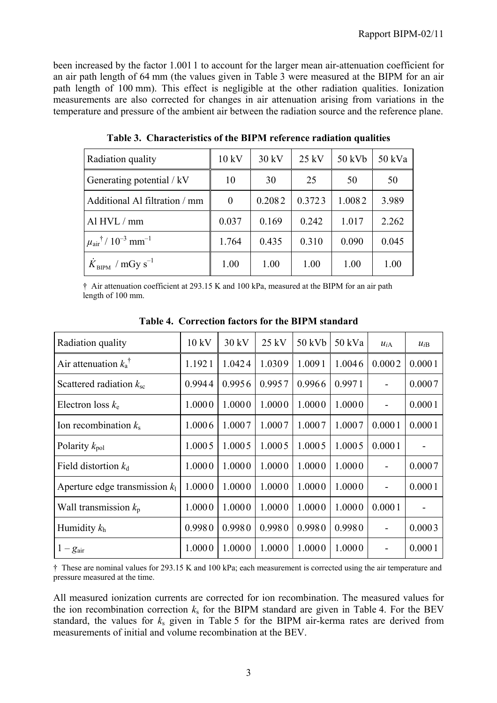been increased by the factor 1.001 1 to account for the larger mean air-attenuation coefficient for an air path length of 64 mm (the values given in Table 3 were measured at the BIPM for an air path length of 100 mm). This effect is negligible at the other radiation qualities. Ionization measurements are also corrected for changes in air attenuation arising from variations in the temperature and pressure of the ambient air between the radiation source and the reference plane.

| Radiation quality                                         | 10 kV    | 30 kV  | $25$ kV | 50 kVb | 50 kVa |
|-----------------------------------------------------------|----------|--------|---------|--------|--------|
| Generating potential / kV                                 | 10       | 30     | 25      | 50     | 50     |
| Additional Al filtration / mm                             | $\Omega$ | 0.2082 | 0.3723  | 1.0082 | 3.989  |
| Al HVL / mm                                               | 0.037    | 0.169  | 0.242   | 1.017  | 2.262  |
| $\mu_{\text{air}}^{\dagger}$ / $10^{-3}$ mm <sup>-1</sup> | 1.764    | 0.435  | 0.310   | 0.090  | 0.045  |
| $K_{\text{BIPM}}$ / mGy s <sup>-1</sup>                   | 1.00     | 1.00   | 1.00    | 1.00   | 1.00   |

**Table 3. Characteristics of the BIPM reference radiation qualities**

† Air attenuation coefficient at 293.15 K and 100 kPa, measured at the BIPM for an air path length of 100 mm.

| Radiation quality                | 10 kV  | 30 kV  | $25$ kV | 50 kVb | 50 kVa | $u_{iA}$ | $u_{iB}$ |
|----------------------------------|--------|--------|---------|--------|--------|----------|----------|
| Air attenuation $k_a^{\dagger}$  | 1.1921 | 1.0424 | 1.0309  | 1.0091 | 1.0046 | 0.0002   | 0.0001   |
| Scattered radiation $k_{\rm sc}$ | 0.9944 | 0.9956 | 0.9957  | 0.9966 | 0.9971 |          | 0.0007   |
| Electron loss $k_e$              | 1.0000 | 1.0000 | 1.0000  | 1.0000 | 1.0000 |          | 0.0001   |
| Ion recombination $k_s$          | 1.0006 | 1.0007 | 1.0007  | 1.0007 | 1.0007 | 0.0001   | 0.0001   |
| Polarity $k_{pol}$               | 1.0005 | 1.0005 | 1.0005  | 1.0005 | 1.0005 | 0.0001   |          |
| Field distortion $k_d$           | 1.0000 | 1.0000 | 1.0000  | 1.0000 | 1.0000 |          | 0.0007   |
| Aperture edge transmission $k_1$ | 1.0000 | 1.0000 | 1.0000  | 1.0000 | 1.0000 |          | 0.0001   |
| Wall transmission $k_p$          | 1.0000 | 1.0000 | 1.0000  | 1.0000 | 1.0000 | 0.0001   |          |
| Humidity $k_h$                   | 0.9980 | 0.9980 | 0.9980  | 0.9980 | 0.9980 |          | 0.0003   |
| $1-g_{\text{air}}$               | 1.0000 | 1.0000 | 1.0000  | 1.0000 | 1.0000 |          | 0.0001   |

**Table 4. Correction factors for the BIPM standard**

† These are nominal values for 293.15 K and 100 kPa; each measurement is corrected using the air temperature and pressure measured at the time.

All measured ionization currents are corrected for ion recombination. The measured values for the ion recombination correction  $k<sub>s</sub>$  for the BIPM standard are given in Table 4. For the BEV standard, the values for *k*s given in Table 5 for the BIPM air-kerma rates are derived from measurements of initial and volume recombination at the BEV.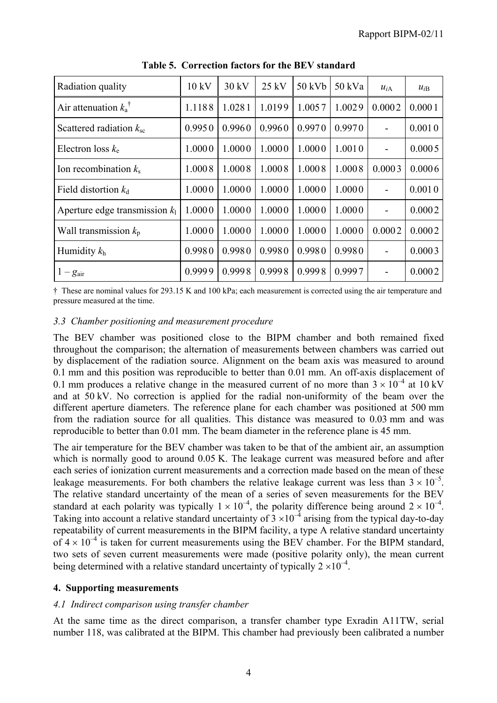| Radiation quality                | 10 kV  | 30 kV  | 25 kV  | 50 kVb | 50 kVa | $u_{iA}$ | $u_{iB}$ |
|----------------------------------|--------|--------|--------|--------|--------|----------|----------|
| Air attenuation $k_a^{\dagger}$  | 1.1188 | 1.0281 | 1.0199 | 1.0057 | 1.0029 | 0.0002   | 0.0001   |
| Scattered radiation $k_{\rm sc}$ | 0.9950 | 0.9960 | 0.9960 | 0.9970 | 0.9970 |          | 0.0010   |
| Electron loss $k_e$              | 1.0000 | 1.0000 | 1.0000 | 1.0000 | 1.0010 |          | 0.0005   |
| Ion recombination $k_s$          | 1.0008 | 1.0008 | 1.0008 | 1.0008 | 1.0008 | 0.0003   | 0.0006   |
| Field distortion $k_d$           | 1.0000 | 1.0000 | 1.0000 | 1.0000 | 1.0000 |          | 0.0010   |
| Aperture edge transmission $k_1$ | 1.0000 | 1.0000 | 1.0000 | 1.0000 | 1.0000 |          | 0.0002   |
| Wall transmission $k_p$          | 1.0000 | 1.0000 | 1.0000 | 1.0000 | 1.0000 | 0.0002   | 0.0002   |
| Humidity $k_h$                   | 0.9980 | 0.9980 | 0.9980 | 0.9980 | 0.9980 |          | 0.0003   |
| $1-g_{\text{air}}$               | 0.9999 | 0.9998 | 0.9998 | 0.9998 | 0.9997 |          | 0.0002   |

**Table 5. Correction factors for the BEV standard**

† These are nominal values for 293.15 K and 100 kPa; each measurement is corrected using the air temperature and pressure measured at the time.

#### *3.3 Chamber positioning and measurement procedure*

The BEV chamber was positioned close to the BIPM chamber and both remained fixed throughout the comparison; the alternation of measurements between chambers was carried out by displacement of the radiation source. Alignment on the beam axis was measured to around 0.1 mm and this position was reproducible to better than 0.01 mm. An off-axis displacement of 0.1 mm produces a relative change in the measured current of no more than  $3 \times 10^{-4}$  at 10 kV and at 50 kV. No correction is applied for the radial non-uniformity of the beam over the different aperture diameters. The reference plane for each chamber was positioned at 500 mm from the radiation source for all qualities. This distance was measured to 0.03 mm and was reproducible to better than 0.01 mm. The beam diameter in the reference plane is 45 mm.

The air temperature for the BEV chamber was taken to be that of the ambient air, an assumption which is normally good to around 0.05 K. The leakage current was measured before and after each series of ionization current measurements and a correction made based on the mean of these leakage measurements. For both chambers the relative leakage current was less than  $3 \times 10^{-5}$ . The relative standard uncertainty of the mean of a series of seven measurements for the BEV standard at each polarity was typically  $1 \times 10^{-4}$ , the polarity difference being around  $2 \times 10^{-4}$ . Taking into account a relative standard uncertainty of  $3 \times 10^{-4}$  arising from the typical day-to-day repeatability of current measurements in the BIPM facility, a type A relative standard uncertainty of  $4 \times 10^{-4}$  is taken for current measurements using the BEV chamber. For the BIPM standard, two sets of seven current measurements were made (positive polarity only), the mean current being determined with a relative standard uncertainty of typically  $2 \times 10^{-4}$ .

#### **4. Supporting measurements**

#### *4.1 Indirect comparison using transfer chamber*

At the same time as the direct comparison, a transfer chamber type Exradin A11TW, serial number 118, was calibrated at the BIPM. This chamber had previously been calibrated a number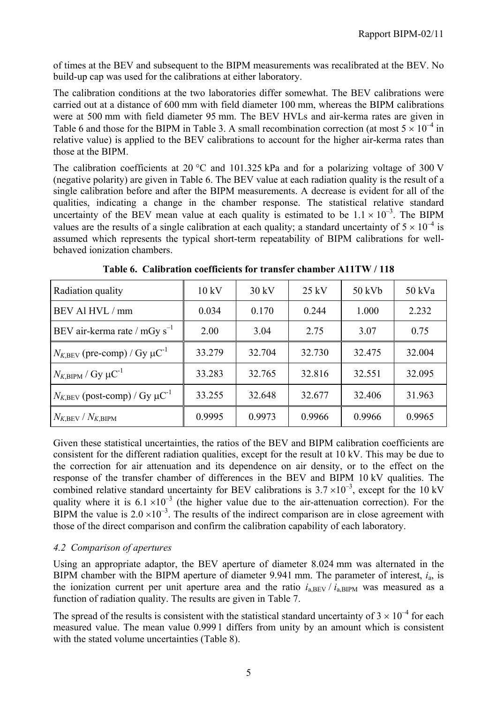of times at the BEV and subsequent to the BIPM measurements was recalibrated at the BEV. No build-up cap was used for the calibrations at either laboratory.

The calibration conditions at the two laboratories differ somewhat. The BEV calibrations were carried out at a distance of 600 mm with field diameter 100 mm, whereas the BIPM calibrations were at 500 mm with field diameter 95 mm. The BEV HVLs and air-kerma rates are given in Table 6 and those for the BIPM in Table 3. A small recombination correction (at most  $5 \times 10^{-4}$  in relative value) is applied to the BEV calibrations to account for the higher air-kerma rates than those at the BIPM.

The calibration coefficients at 20  $^{\circ}$ C and 101.325 kPa and for a polarizing voltage of 300 V (negative polarity) are given in Table 6. The BEV value at each radiation quality is the result of a single calibration before and after the BIPM measurements. A decrease is evident for all of the qualities, indicating a change in the chamber response. The statistical relative standard uncertainty of the BEV mean value at each quality is estimated to be  $1.1 \times 10^{-3}$ . The BIPM values are the results of a single calibration at each quality; a standard uncertainty of  $5 \times 10^{-4}$  is assumed which represents the typical short-term repeatability of BIPM calibrations for wellbehaved ionization chambers.

| Radiation quality                                      | 10 kV  | $30 \text{ kV}$ | $25 \text{ kV}$ | 50 kVb | 50 kVa |
|--------------------------------------------------------|--------|-----------------|-----------------|--------|--------|
| BEV Al HVL / mm                                        | 0.034  | 0.170           | 0.244           | 1.000  | 2.232  |
| BEV air-kerma rate / $mGy s^{-1}$                      | 2.00   | 3.04            | 2.75            | 3.07   | 0.75   |
| $N_{K,\text{BEV}}$ (pre-comp) / Gy $\mu\text{C}^{-1}$  | 33.279 | 32.704          | 32.730          | 32.475 | 32.004 |
| $N_{K,\text{BIPM}}$ / Gy $\mu\text{C}^{-1}$            | 33.283 | 32.765          | 32.816          | 32.551 | 32.095 |
| $N_{K,\text{BEV}}$ (post-comp) / Gy $\mu\text{C}^{-1}$ | 33.255 | 32.648          | 32.677          | 32.406 | 31.963 |
| $N_{K,\mathrm{BEV}}/N_{K,\mathrm{BIPM}}$               | 0.9995 | 0.9973          | 0.9966          | 0.9966 | 0.9965 |

**Table 6. Calibration coefficients for transfer chamber A11TW / 118**

Given these statistical uncertainties, the ratios of the BEV and BIPM calibration coefficients are consistent for the different radiation qualities, except for the result at 10 kV. This may be due to the correction for air attenuation and its dependence on air density, or to the effect on the response of the transfer chamber of differences in the BEV and BIPM 10 kV qualities. The combined relative standard uncertainty for BEV calibrations is  $3.7 \times 10^{-3}$ , except for the 10 kV quality where it is  $6.1 \times 10^{-3}$  (the higher value due to the air-attenuation correction). For the BIPM the value is  $2.0 \times 10^{-3}$ . The results of the indirect comparison are in close agreement with those of the direct comparison and confirm the calibration capability of each laboratory.

## *4.2 Comparison of apertures*

Using an appropriate adaptor, the BEV aperture of diameter 8.024 mm was alternated in the BIPM chamber with the BIPM aperture of diameter 9.941 mm. The parameter of interest, *i*a, is the ionization current per unit aperture area and the ratio  $i_{\text{a BEV}}/i_{\text{a BIPM}}$  was measured as a function of radiation quality. The results are given in Table 7.

The spread of the results is consistent with the statistical standard uncertainty of  $3 \times 10^{-4}$  for each measured value. The mean value 0.999 1 differs from unity by an amount which is consistent with the stated volume uncertainties (Table 8).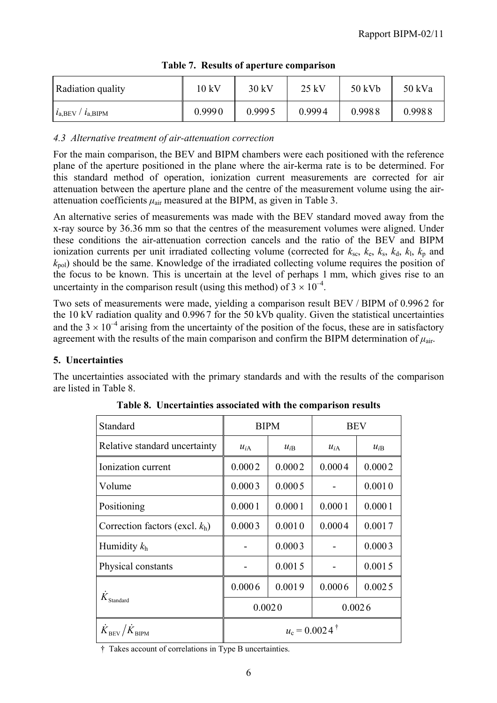| Radiation quality                  | 10 kV  | 30 kV  | $25$ kV | 50 kVb | 50 kVa |
|------------------------------------|--------|--------|---------|--------|--------|
| $l_{\rm a,BEV}$ / $l_{\rm a,BIPM}$ | 0.9990 | 0.9995 | 0.9994  | 0.9988 | 0.9988 |

|  |  |  |  | Table 7. Results of aperture comparison |
|--|--|--|--|-----------------------------------------|
|--|--|--|--|-----------------------------------------|

## *4.3 Alternative treatment of air-attenuation correction*

For the main comparison, the BEV and BIPM chambers were each positioned with the reference plane of the aperture positioned in the plane where the air-kerma rate is to be determined. For this standard method of operation, ionization current measurements are corrected for air attenuation between the aperture plane and the centre of the measurement volume using the airattenuation coefficients  $\mu_{air}$  measured at the BIPM, as given in Table 3.

An alternative series of measurements was made with the BEV standard moved away from the x-ray source by 36.36 mm so that the centres of the measurement volumes were aligned. Under these conditions the air-attenuation correction cancels and the ratio of the BEV and BIPM ionization currents per unit irradiated collecting volume (corrected for  $k_{sc}$ ,  $k_e$ ,  $k_s$ ,  $k_d$ ,  $k_l$ ,  $k_p$  and *k*pol) should be the same. Knowledge of the irradiated collecting volume requires the position of the focus to be known. This is uncertain at the level of perhaps 1 mm, which gives rise to an uncertainty in the comparison result (using this method) of  $3 \times 10^{-4}$ .

Two sets of measurements were made, yielding a comparison result BEV / BIPM of 0.996 2 for the 10 kV radiation quality and 0.996 7 for the 50 kVb quality. Given the statistical uncertainties and the  $3 \times 10^{-4}$  arising from the uncertainty of the position of the focus, these are in satisfactory agreement with the results of the main comparison and confirm the BIPM determination of  $\mu_{air}$ .

# **5. Uncertainties**

The uncertainties associated with the primary standards and with the results of the comparison are listed in Table 8.

| Standard                                                                   |                          | <b>BIPM</b> | <b>BEV</b> |          |  |  |
|----------------------------------------------------------------------------|--------------------------|-------------|------------|----------|--|--|
| Relative standard uncertainty                                              | $u_{iA}$                 | $u_{iB}$    |            | $u_{iB}$ |  |  |
| Ionization current                                                         | 0.0002                   | 0.0002      | 0.0004     | 0.0002   |  |  |
| Volume                                                                     | 0.0003                   | 0.0005      |            | 0.0010   |  |  |
| Positioning                                                                | 0.0001<br>0.0001         |             | 0.0001     | 0.0001   |  |  |
| Correction factors (excl. $k_h$ )                                          | 0.0003<br>0.0010         |             | 0.0004     | 0.0017   |  |  |
| Humidity $k_h$                                                             | 0.0003                   |             |            | 0.0003   |  |  |
| Physical constants                                                         |                          | 0.0015      |            | 0.0015   |  |  |
|                                                                            | 0.0006                   | 0.0019      | 0.0006     | 0.0025   |  |  |
| $K_{\rm Standard}$                                                         | 0.0020<br>0.0026         |             |            |          |  |  |
| $\dot{K}_{\scriptscriptstyle\rm BEV}/\dot{K}_{\scriptscriptstyle\rm BIPM}$ | $u_c = 0.0024^{\dagger}$ |             |            |          |  |  |

**Table 8. Uncertainties associated with the comparison results**

† Takes account of correlations in Type B uncertainties.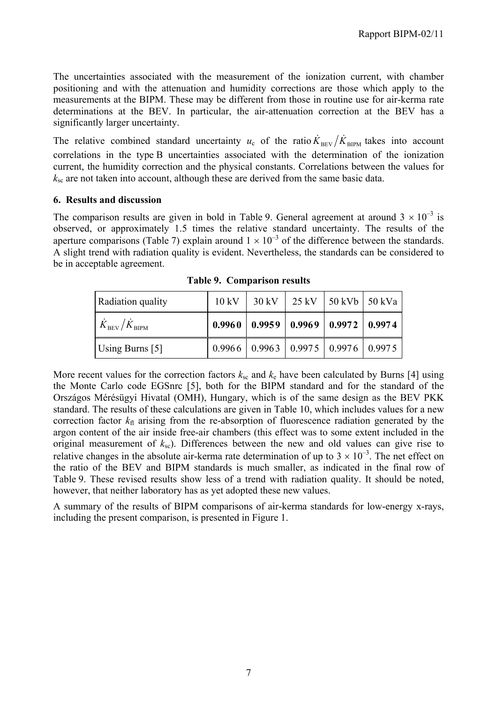The uncertainties associated with the measurement of the ionization current, with chamber positioning and with the attenuation and humidity corrections are those which apply to the measurements at the BIPM. These may be different from those in routine use for air-kerma rate determinations at the BEV. In particular, the air-attenuation correction at the BEV has a significantly larger uncertainty.

The relative combined standard uncertainty  $u_c$  of the ratio  $\dot{K}_{\text{BEV}}/\dot{K}_{\text{BIPM}}$  takes into account correlations in the type B uncertainties associated with the determination of the ionization current, the humidity correction and the physical constants. Correlations between the values for  $k_{\rm sc}$  are not taken into account, although these are derived from the same basic data.

#### **6. Results and discussion**

The comparison results are given in bold in Table 9. General agreement at around  $3 \times 10^{-3}$  is observed, or approximately 1.5 times the relative standard uncertainty. The results of the aperture comparisons (Table 7) explain around  $1 \times 10^{-3}$  of the difference between the standards. A slight trend with radiation quality is evident. Nevertheless, the standards can be considered to be in acceptable agreement.

| Radiation quality                      | $10 \text{ kV}$ | $30 \text{ kV}$ | $25$ kV | $\frac{150 \text{ kVb}}{50 \text{ kVa}}$             |  |
|----------------------------------------|-----------------|-----------------|---------|------------------------------------------------------|--|
| $\dot{K}_{\rm BEV}/\dot{K}_{\rm BIPM}$ |                 |                 |         | $0.9960$   $0.9959$   $0.9969$   $0.9972$   $0.9974$ |  |
| Using Burns [5]                        |                 |                 |         | $0.9966$   0.9963   0.9975   0.9976   0.9975         |  |

**Table 9. Comparison results**

More recent values for the correction factors  $k_{\rm sc}$  and  $k_{\rm e}$  have been calculated by Burns [4] using the Monte Carlo code EGSnrc [5], both for the BIPM standard and for the standard of the Országos Mérésügyi Hivatal (OMH), Hungary, which is of the same design as the BEV PKK standard. The results of these calculations are given in Table 10, which includes values for a new correction factor  $k<sub>fl</sub>$  arising from the re-absorption of fluorescence radiation generated by the argon content of the air inside free-air chambers (this effect was to some extent included in the original measurement of  $k_{\rm sc}$ ). Differences between the new and old values can give rise to relative changes in the absolute air-kerma rate determination of up to  $3 \times 10^{-3}$ . The net effect on the ratio of the BEV and BIPM standards is much smaller, as indicated in the final row of Table 9. These revised results show less of a trend with radiation quality. It should be noted, however, that neither laboratory has as yet adopted these new values.

A summary of the results of BIPM comparisons of air-kerma standards for low-energy x-rays, including the present comparison, is presented in Figure 1.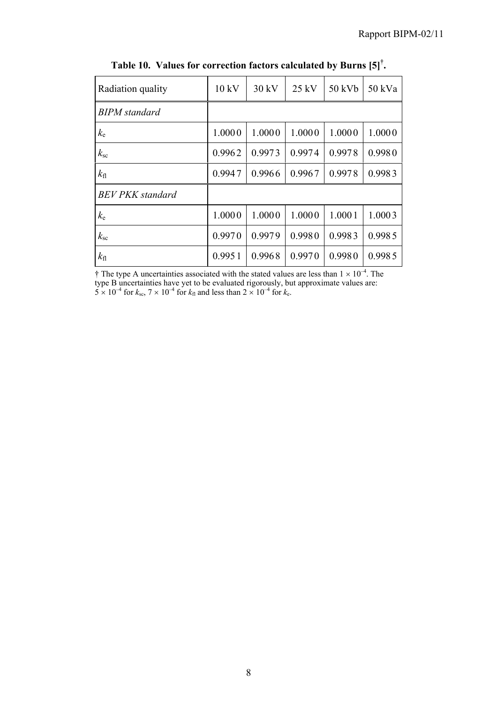| Radiation quality       | 10 kV  | 30 kV  | $25$ kV | 50 kVb | 50 kVa |
|-------------------------|--------|--------|---------|--------|--------|
| <b>BIPM</b> standard    |        |        |         |        |        |
| $k_{\rm e}$             | 1.0000 | 1.0000 | 1.0000  | 1.0000 | 1.0000 |
| $k_{\rm sc}$            | 0.9962 | 0.9973 | 0.9974  | 0.9978 | 0.9980 |
| $k_{\rm fl}$            | 0.9947 | 0.9966 | 0.9967  | 0.9978 | 0.9983 |
| <b>BEV PKK</b> standard |        |        |         |        |        |
| $k_{\rm e}$             | 1.0000 | 1.0000 | 1.0000  | 1.0001 | 1.0003 |
| $k_{\rm sc}$            | 0.9970 | 0.9979 | 0.9980  | 0.9983 | 0.9985 |
| $k_{\rm fl}$            | 0.9951 | 0.9968 | 0.9970  | 0.9980 | 0.9985 |

**Table 10. Values for correction factors calculated by Burns [5]† .**

 $\dagger$  The type A uncertainties associated with the stated values are less than  $1 \times 10^{-4}$ . The type B uncertainties have yet to be evaluated rigorously, but approximate values are:  $5 \times 10^{-4}$  for  $k_{\text{sc}}$ ,  $7 \times 10^{-4}$  for  $k_{\text{fl}}$  and less than  $2 \times 10^{-4}$  for  $k_{\text{e}}$ .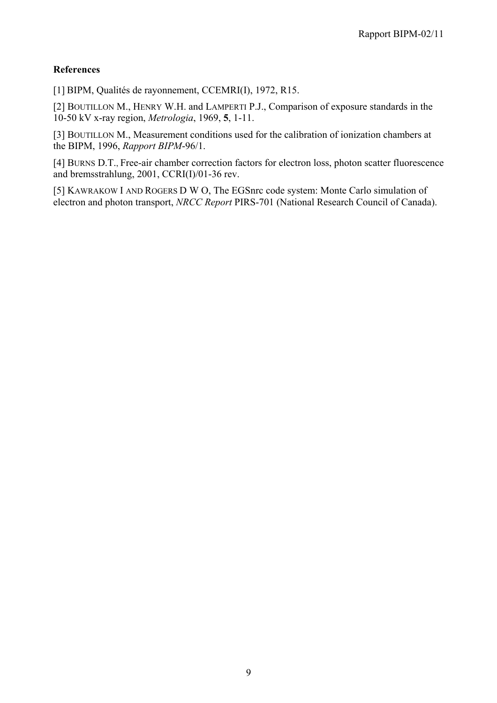# **References**

[1] BIPM, Qualités de rayonnement, CCEMRI(I), 1972, R15.

[2] BOUTILLON M., HENRY W.H. and LAMPERTI P.J., Comparison of exposure standards in the 10-50 kV x-ray region, *Metrologia*, 1969, **5**, 1-11.

[3] BOUTILLON M., Measurement conditions used for the calibration of ionization chambers at the BIPM, 1996, *Rapport BIPM*-96/1.

[4] BURNS D.T., Free-air chamber correction factors for electron loss, photon scatter fluorescence and bremsstrahlung, 2001, CCRI(I)/01-36 rev.

[5] KAWRAKOW I AND ROGERS D W O, The EGSnrc code system: Monte Carlo simulation of electron and photon transport, *NRCC Report* PIRS-701 (National Research Council of Canada).